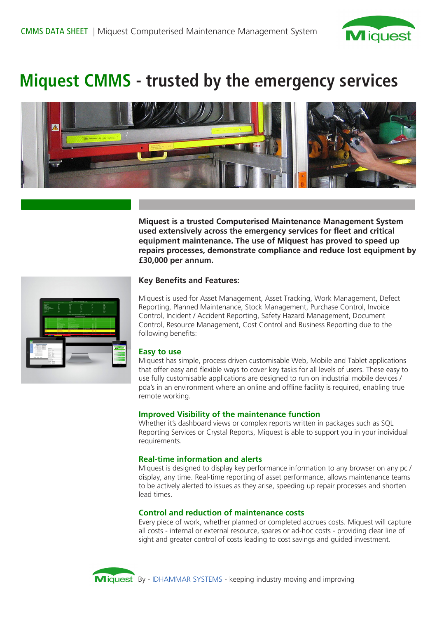

# **Miquest CMMS - trusted by the emergency services**



**Miquest is a trusted Computerised Maintenance Management System used extensively across the emergency services for fleet and critical equipment maintenance. The use of Miquest has proved to speed up repairs processes, demonstrate compliance and reduce lost equipment by £30,000 per annum.**



## **Key Benefits and Features:**

Miquest is used for Asset Management, Asset Tracking, Work Management, Defect Reporting, Planned Maintenance, Stock Management, Purchase Control, Invoice Control, Incident / Accident Reporting, Safety Hazard Management, Document Control, Resource Management, Cost Control and Business Reporting due to the following benefits:

#### **Easy to use**

Miquest has simple, process driven customisable Web, Mobile and Tablet applications that offer easy and flexible ways to cover key tasks for all levels of users. These easy to use fully customisable applications are designed to run on industrial mobile devices / pda's in an environment where an online and offline facility is required, enabling true remote working.

### **Improved Visibility of the maintenance function**

Whether it's dashboard views or complex reports written in packages such as SQL Reporting Services or Crystal Reports, Miquest is able to support you in your individual requirements.

#### **Real-time information and alerts**

Miquest is designed to display key performance information to any browser on any pc / display, any time. Real-time reporting of asset performance, allows maintenance teams to be actively alerted to issues as they arise, speeding up repair processes and shorten lead times.

#### **Control and reduction of maintenance costs**

Every piece of work, whether planned or completed accrues costs. Miquest will capture all costs - internal or external resource, spares or ad-hoc costs - providing clear line of sight and greater control of costs leading to cost savings and guided investment.